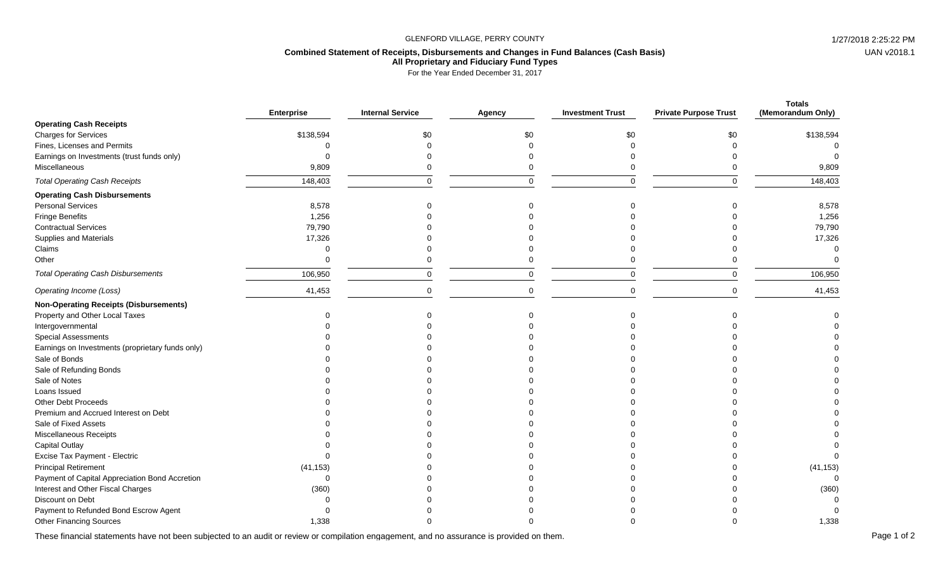## GLENFORD VILLAGE, PERRY COUNTY **1/27/2018** 2:25:22 PM

## **Combined Statement of Receipts, Disbursements and Changes in Fund Balances (Cash Basis) All Proprietary and Fiduciary Fund Types**

For the Year Ended December 31, 2017

|                                                  | <b>Enterprise</b> | <b>Internal Service</b> | Agency   | <b>Investment Trust</b> | <b>Private Purpose Trust</b> | <b>Totals</b><br>(Memorandum Only) |
|--------------------------------------------------|-------------------|-------------------------|----------|-------------------------|------------------------------|------------------------------------|
| <b>Operating Cash Receipts</b>                   |                   |                         |          |                         |                              |                                    |
| <b>Charges for Services</b>                      | \$138,594         | \$0                     | \$0      | \$0                     | \$0                          | \$138,594                          |
| Fines, Licenses and Permits                      | $\Omega$          |                         |          |                         |                              |                                    |
| Earnings on Investments (trust funds only)       | $\Omega$          |                         |          |                         |                              |                                    |
| Miscellaneous                                    | 9,809             |                         |          |                         |                              | 9,809                              |
| <b>Total Operating Cash Receipts</b>             | 148,403           | $\Omega$                | $\Omega$ | $\Omega$                | $\Omega$                     | 148,403                            |
| <b>Operating Cash Disbursements</b>              |                   |                         |          |                         |                              |                                    |
| <b>Personal Services</b>                         | 8,578             |                         |          | ∩                       |                              | 8,578                              |
| <b>Fringe Benefits</b>                           | 1,256             |                         |          |                         |                              | 1,256                              |
| <b>Contractual Services</b>                      | 79,790            |                         |          |                         |                              | 79,790                             |
| Supplies and Materials                           | 17,326            |                         |          |                         |                              | 17,326                             |
| Claims                                           | $\Omega$          |                         |          |                         |                              |                                    |
| Other                                            | $\Omega$          | 0                       |          |                         |                              |                                    |
| <b>Total Operating Cash Disbursements</b>        | 106,950           | $\mathbf 0$             |          | $\Omega$                | $\Omega$                     | 106,950                            |
| Operating Income (Loss)                          | 41,453            | 0                       |          |                         | $\Omega$                     | 41,453                             |
| <b>Non-Operating Receipts (Disbursements)</b>    |                   |                         |          |                         |                              |                                    |
| Property and Other Local Taxes                   | $\Omega$          |                         |          |                         |                              |                                    |
| Intergovernmental                                |                   |                         |          |                         |                              |                                    |
| Special Assessments                              |                   |                         |          |                         |                              |                                    |
| Earnings on Investments (proprietary funds only) |                   |                         |          |                         |                              |                                    |
| Sale of Bonds                                    |                   |                         |          |                         |                              |                                    |
| Sale of Refunding Bonds                          |                   |                         |          |                         |                              |                                    |
| Sale of Notes                                    |                   |                         |          |                         |                              |                                    |
| Loans Issued                                     |                   |                         |          |                         |                              |                                    |
| Other Debt Proceeds                              |                   |                         |          |                         |                              |                                    |
| Premium and Accrued Interest on Debt             |                   |                         |          |                         |                              |                                    |
| Sale of Fixed Assets                             |                   |                         |          |                         |                              |                                    |
| Miscellaneous Receipts                           |                   |                         |          |                         |                              |                                    |
| Capital Outlay                                   |                   |                         |          |                         |                              |                                    |
| Excise Tax Payment - Electric                    | $\Omega$          |                         |          |                         |                              |                                    |
| <b>Principal Retirement</b>                      | (41, 153)         |                         |          |                         |                              | (41, 153)                          |
| Payment of Capital Appreciation Bond Accretion   | $\Omega$          |                         |          |                         |                              |                                    |
| Interest and Other Fiscal Charges                | (360)             |                         |          |                         |                              | (360)                              |
| Discount on Debt                                 | $\Omega$          |                         |          |                         |                              |                                    |
| Payment to Refunded Bond Escrow Agent            | $\Omega$          |                         |          |                         |                              |                                    |
| <b>Other Financing Sources</b>                   | 1,338             |                         |          |                         |                              | 1,338                              |

These financial statements have not been subjected to an audit or review or compilation engagement, and no assurance is provided on them.